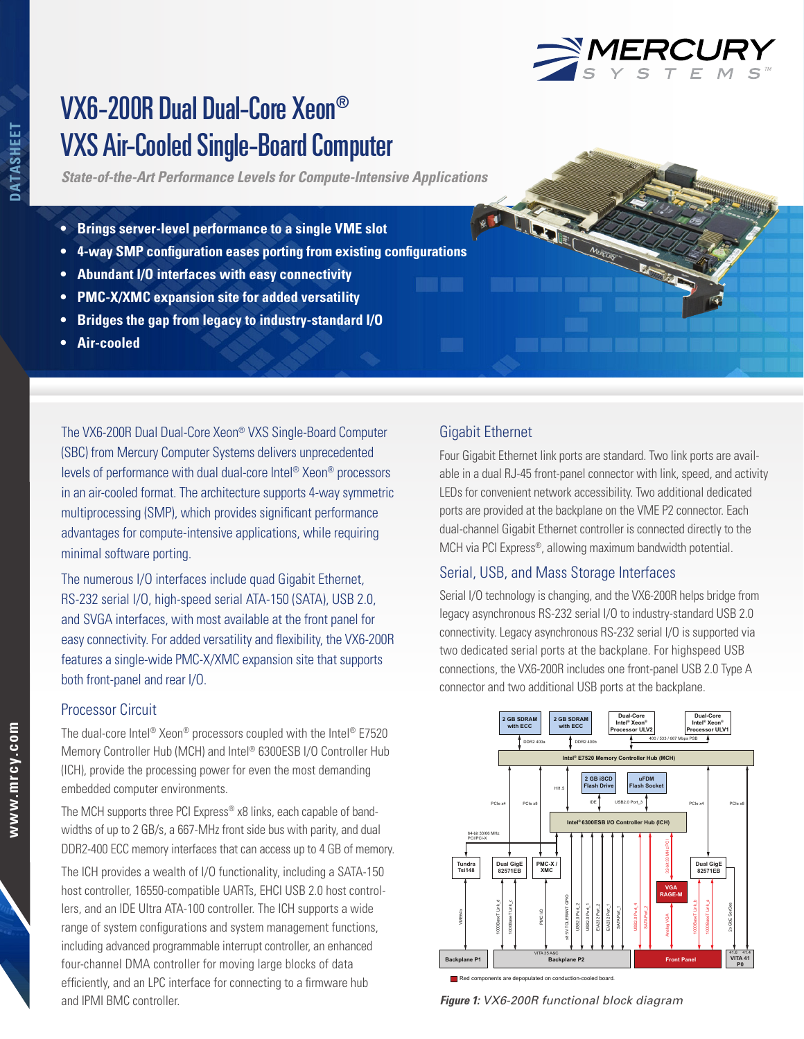*State-of-the-Art Performance Levels for Compute-Intensive Applications*

- **• Brings server-level performance to a single VME slot**
- **• 4-way SMP configuration eases porting from existing configurations**
- **• Abundant I/O interfaces with easy connectivity**
- **• PMC-X/XMC expansion site for added versatility**
- **• Bridges the gap from legacy to industry-standard I/O**
- **• Air-cooled**

The VX6-200R Dual Dual-Core Xeon® VXS Single-Board Computer (SBC) from Mercury Computer Systems delivers unprecedented levels of performance with dual dual-core Intel® Xeon® processors in an air-cooled format. The architecture supports 4-way symmetric multiprocessing (SMP), which provides significant performance advantages for compute-intensive applications, while requiring minimal software porting.

The numerous I/O interfaces include quad Gigabit Ethernet, RS-232 serial I/O, high-speed serial ATA-150 (SATA), USB 2.0, and SVGA interfaces, with most available at the front panel for easy connectivity. For added versatility and flexibility, the VX6-200R features a single-wide PMC-X/XMC expansion site that supports both front-panel and rear I/O.

# Processor Circuit

The dual-core Intel® Xeon® processors coupled with the Intel® E7520 Memory Controller Hub (MCH) and Intel® 6300ESB I/O Controller Hub (ICH), provide the processing power for even the most demanding embedded computer environments.

The MCH supports three PCI Express® x8 links, each capable of bandwidths of up to 2 GB/s, a 667-MHz front side bus with parity, and dual DDR2-400 ECC memory interfaces that can access up to 4 GB of memory.

The ICH provides a wealth of I/O functionality, including a SATA-150 host controller, 16550-compatible UARTs, EHCI USB 2.0 host controllers, and an IDE Ultra ATA-100 controller. The ICH supports a wide range of system configurations and system management functions, including advanced programmable interrupt controller, an enhanced four-channel DMA controller for moving large blocks of data efficiently, and an LPC interface for connecting to a firmware hub and IPMI BMC controller.

# Gigabit Ethernet

Four Gigabit Ethernet link ports are standard. Two link ports are available in a dual RJ-45 front-panel connector with link, speed, and activity LEDs for convenient network accessibility. Two additional dedicated ports are provided at the backplane on the VME P2 connector. Each dual-channel Gigabit Ethernet controller is connected directly to the MCH via PCI Express®, allowing maximum bandwidth potential.

<u>e de la propieta de la propieta de la propie</u>

# Serial, USB, and Mass Storage Interfaces

Serial I/O technology is changing, and the VX6-200R helps bridge from legacy asynchronous RS-232 serial I/O to industry-standard USB 2.0 connectivity. Legacy asynchronous RS-232 serial I/O is supported via two dedicated serial ports at the backplane. For highspeed USB connections, the VX6-200R includes one front-panel USB 2.0 Type A connector and two additional USB ports at the backplane.



*Figure 1: VX6-200R functional block diagram*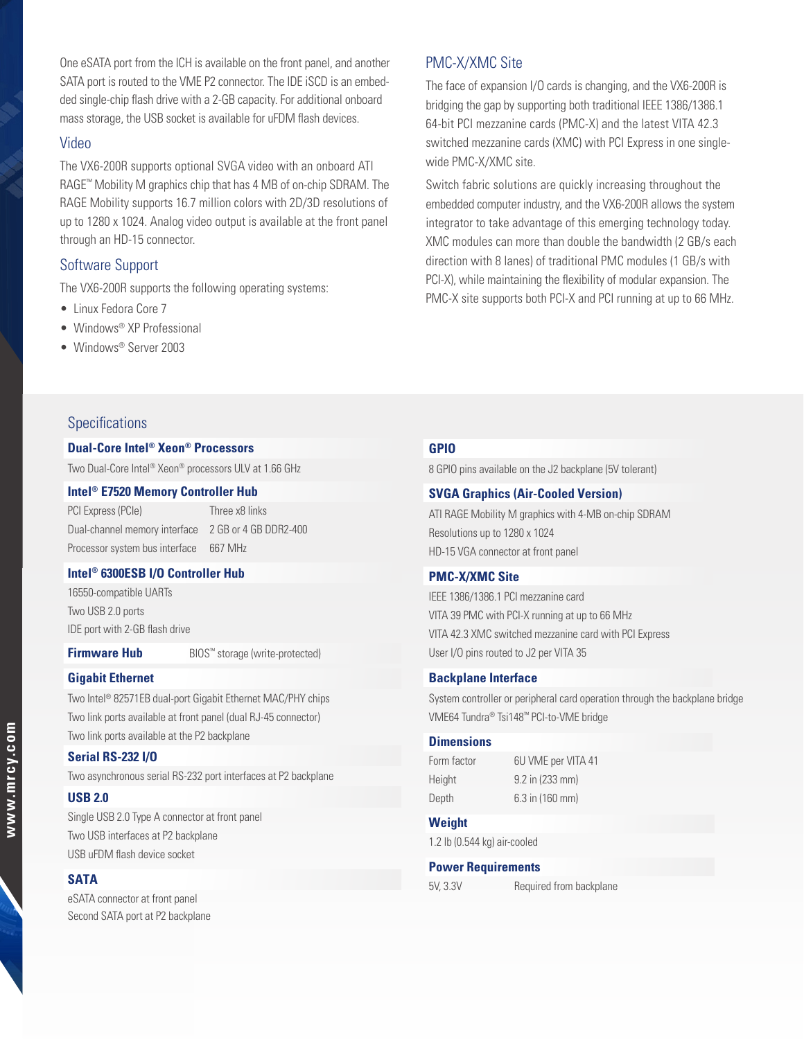One eSATA port from the ICH is available on the front panel, and another SATA port is routed to the VME P2 connector. The IDE iSCD is an embedded single-chip flash drive with a 2-GB capacity. For additional onboard mass storage, the USB socket is available for uFDM flash devices.

# Video

The VX6-200R supports optional SVGA video with an onboard ATI RAGE™ Mobility M graphics chip that has 4 MB of on-chip SDRAM. The RAGE Mobility supports 16.7 million colors with 2D/3D resolutions of up to 1280 x 1024. Analog video output is available at the front panel through an HD-15 connector.

# Software Support

The VX6-200R supports the following operating systems:

- Linux Fedora Core 7
- Windows® XP Professional
- Windows® Server 2003

# Specifications

#### **Dual-Core Intel® Xeon® Processors**

Two Dual-Core Intel® Xeon® processors ULV at 1.66 GHz

#### **Intel® E7520 Memory Controller Hub**

PCI Express (PCIe) Three x8 links Dual-channel memory interface 2 GB or 4 GB DDR2-400 Processor system bus interface 667 MHz

## **Intel® 6300ESB I/O Controller Hub**

16550-compatible UARTs Two USB 2.0 ports IDE port with 2-GB flash drive

**Firmware Hub**  BIOS™ storage (write-protected)

#### **Gigabit Ethernet**

Two Intel® 82571EB dual-port Gigabit Ethernet MAC/PHY chips Two link ports available at front panel (dual RJ-45 connector) Two link ports available at the P2 backplane

# **Serial RS-232 I/O**

Two asynchronous serial RS-232 port interfaces at P2 backplane

## **USB 2.0**

Single USB 2.0 Type A connector at front panel Two USB interfaces at P2 backplane USB uFDM flash device socket

#### **SATA**

eSATA connector at front panel Second SATA port at P2 backplane

# PMC-X/XMC Site

The face of expansion I/O cards is changing, and the VX6-200R is bridging the gap by supporting both traditional IEEE 1386/1386.1 64-bit PCI mezzanine cards (PMC-X) and the latest VITA 42.3 switched mezzanine cards (XMC) with PCI Express in one singlewide PMC-X/XMC site.

Switch fabric solutions are quickly increasing throughout the embedded computer industry, and the VX6-200R allows the system integrator to take advantage of this emerging technology today. XMC modules can more than double the bandwidth (2 GB/s each direction with 8 lanes) of traditional PMC modules (1 GB/s with PCI-X), while maintaining the flexibility of modular expansion. The PMC-X site supports both PCI-X and PCI running at up to 66 MHz.

# **GPIO**

8 GPIO pins available on the J2 backplane (5V tolerant)

## **SVGA Graphics (Air-Cooled Version)**

ATI RAGE Mobility M graphics with 4-MB on-chip SDRAM Resolutions up to 1280 x 1024 HD-15 VGA connector at front panel

# **PMC-X/XMC Site**

IEEE 1386/1386.1 PCI mezzanine card VITA 39 PMC with PCI-X running at up to 66 MHz VITA 42.3 XMC switched mezzanine card with PCI Express User I/O pins routed to J2 per VITA 35

### **Backplane Interface**

System controller or peripheral card operation through the backplane bridge VME64 Tundra® Tsi148™ PCI-to-VME bridge

#### **Dimensions**

| Form factor | 6U VME per VITA 41 |
|-------------|--------------------|
| Height      | 9.2 in (233 mm)    |
| Depth       | 6.3 in (160 mm)    |

# **Weight**

1.2 lb (0.544 kg) air-cooled

#### **Power Requirements**

5V, 3.3V Required from backplane